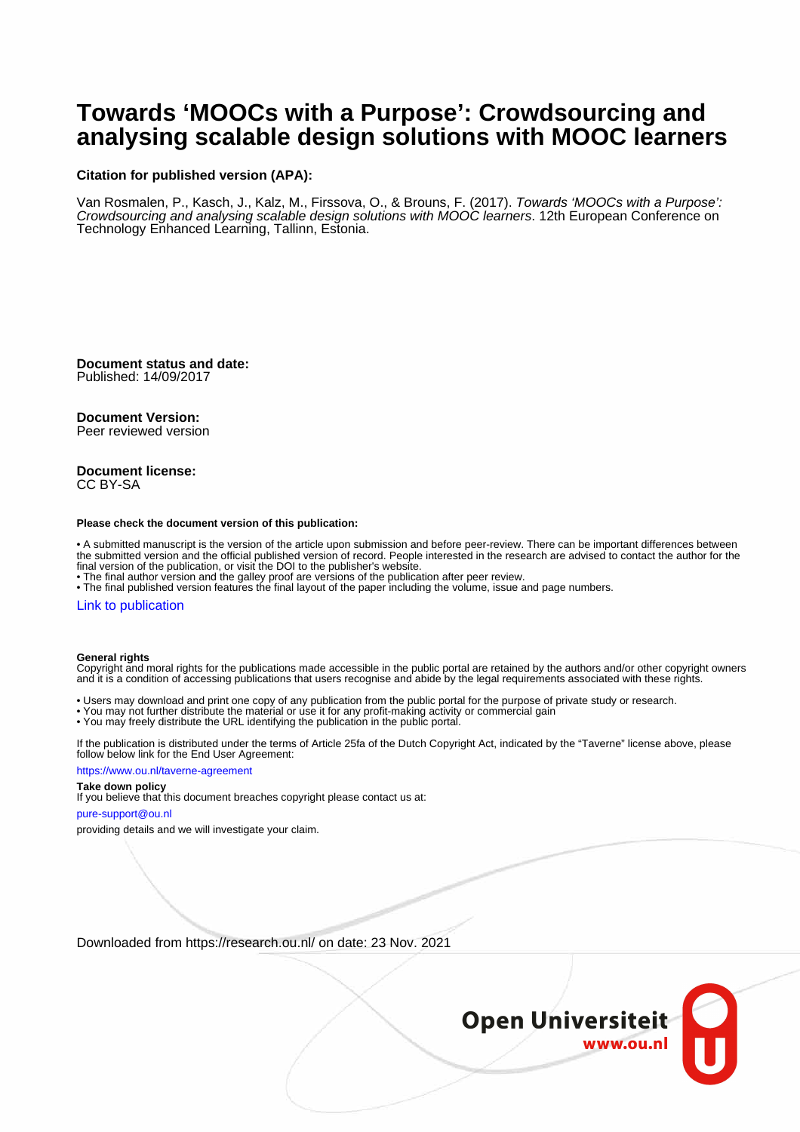## **Towards 'MOOCs with a Purpose': Crowdsourcing and analysing scalable design solutions with MOOC learners**

#### **Citation for published version (APA):**

Van Rosmalen, P., Kasch, J., Kalz, M., Firssova, O., & Brouns, F. (2017). Towards 'MOOCs with a Purpose': Crowdsourcing and analysing scalable design solutions with MOOC learners. 12th European Conference on Technology Enhanced Learning, Tallinn, Estonia.

**Document status and date:** Published: 14/09/2017

**Document Version:**

Peer reviewed version

#### **Document license:** CC BY-SA

#### **Please check the document version of this publication:**

• A submitted manuscript is the version of the article upon submission and before peer-review. There can be important differences between the submitted version and the official published version of record. People interested in the research are advised to contact the author for the final version of the publication, or visit the DOI to the publisher's website.

• The final author version and the galley proof are versions of the publication after peer review.

• The final published version features the final layout of the paper including the volume, issue and page numbers.

#### [Link to publication](https://research.ou.nl/en/publications/55ce074c-e6f9-4227-a15f-8a1727bc1780)

#### **General rights**

Copyright and moral rights for the publications made accessible in the public portal are retained by the authors and/or other copyright owners and it is a condition of accessing publications that users recognise and abide by the legal requirements associated with these rights.

- Users may download and print one copy of any publication from the public portal for the purpose of private study or research.
- You may not further distribute the material or use it for any profit-making activity or commercial gain
- You may freely distribute the URL identifying the publication in the public portal.

If the publication is distributed under the terms of Article 25fa of the Dutch Copyright Act, indicated by the "Taverne" license above, please follow below link for the End User Agreement:

#### https://www.ou.nl/taverne-agreement

### **Take down policy**

If you believe that this document breaches copyright please contact us at:

#### pure-support@ou.nl

providing details and we will investigate your claim.

Downloaded from https://research.ou.nl/ on date: 23 Nov. 2021

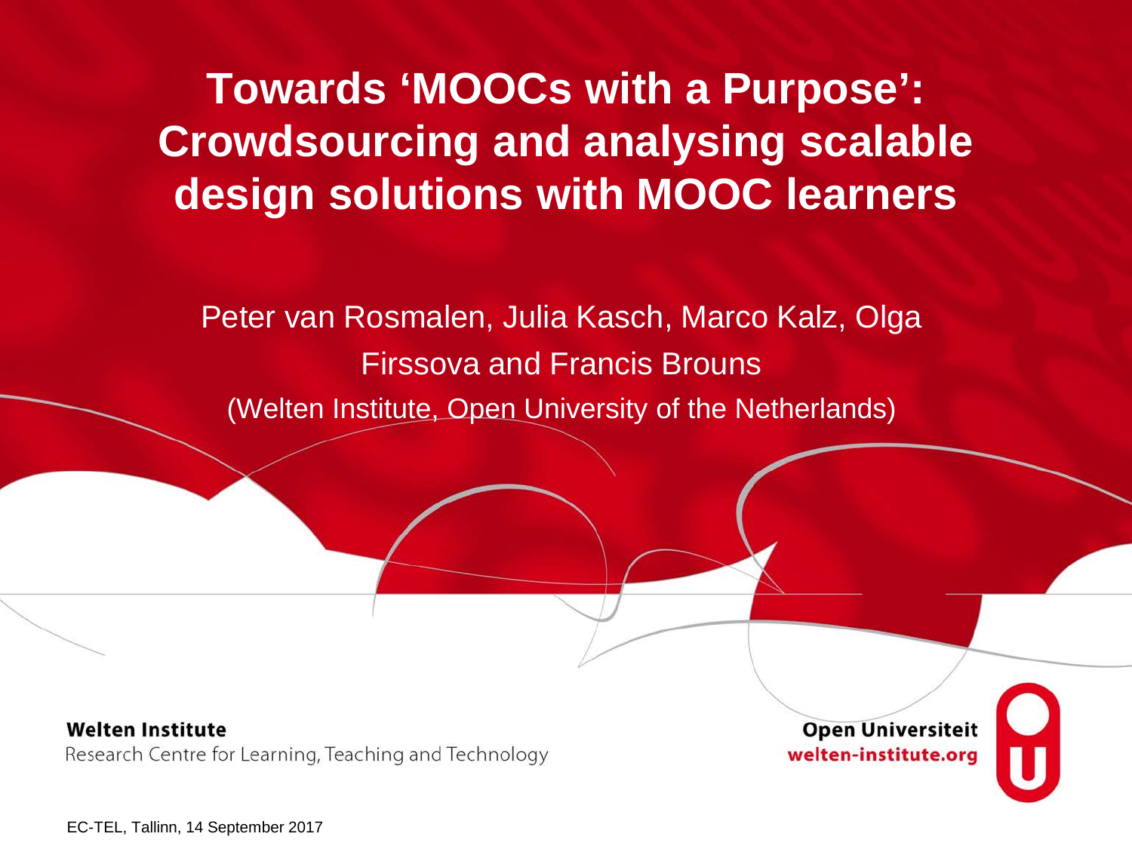**Towards 'MOOCs with a Purpose': Crowdsourcing and analysing scalable design solutions with MOOC learners**

Peter van Rosmalen, Julia Kasch, Marco Kalz, Olga Firssova and Francis Brouns (Welten Institute, Open University of the Netherlands)

**Welten Institute** Research Centre for Learning, Teaching and Technology

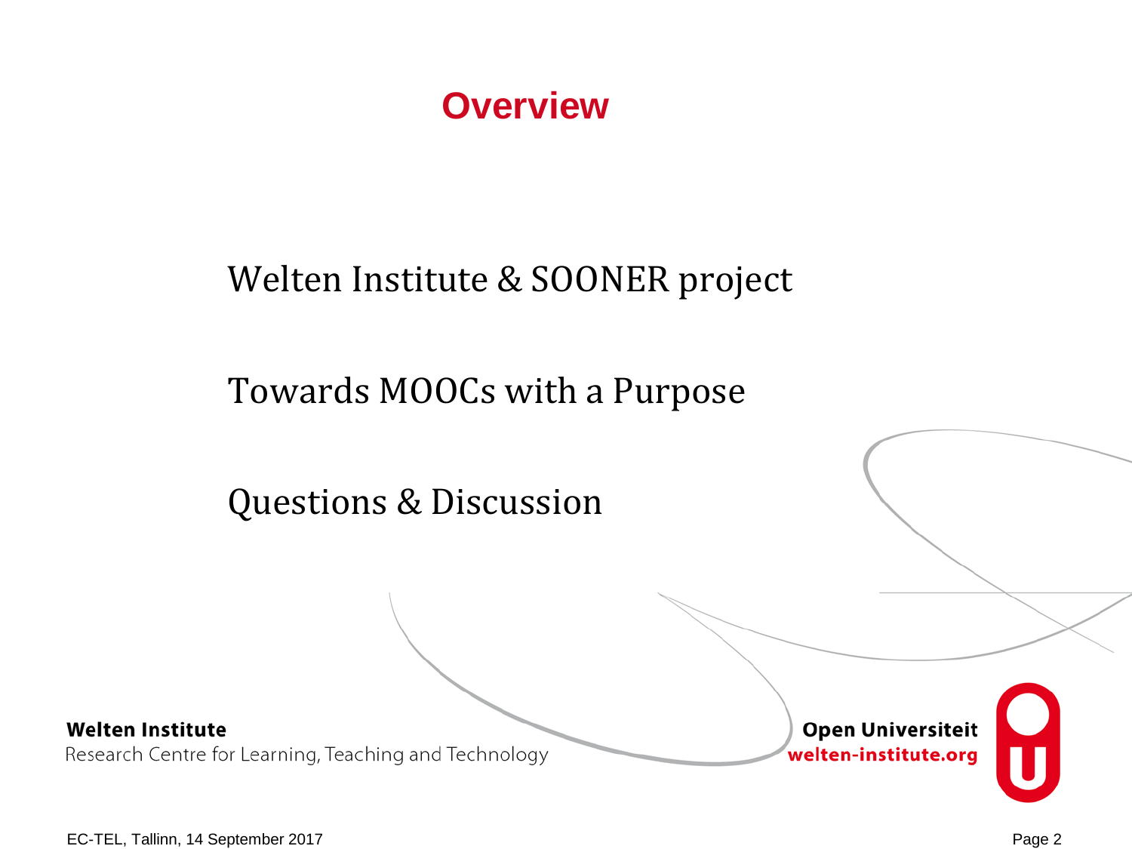# **Overview**

# Welten Institute & SOONER project

# Towards MOOCs with a Purpose

Questions & Discussion

**Welten Institute** 

Research Centre for Learning, Teaching and Technology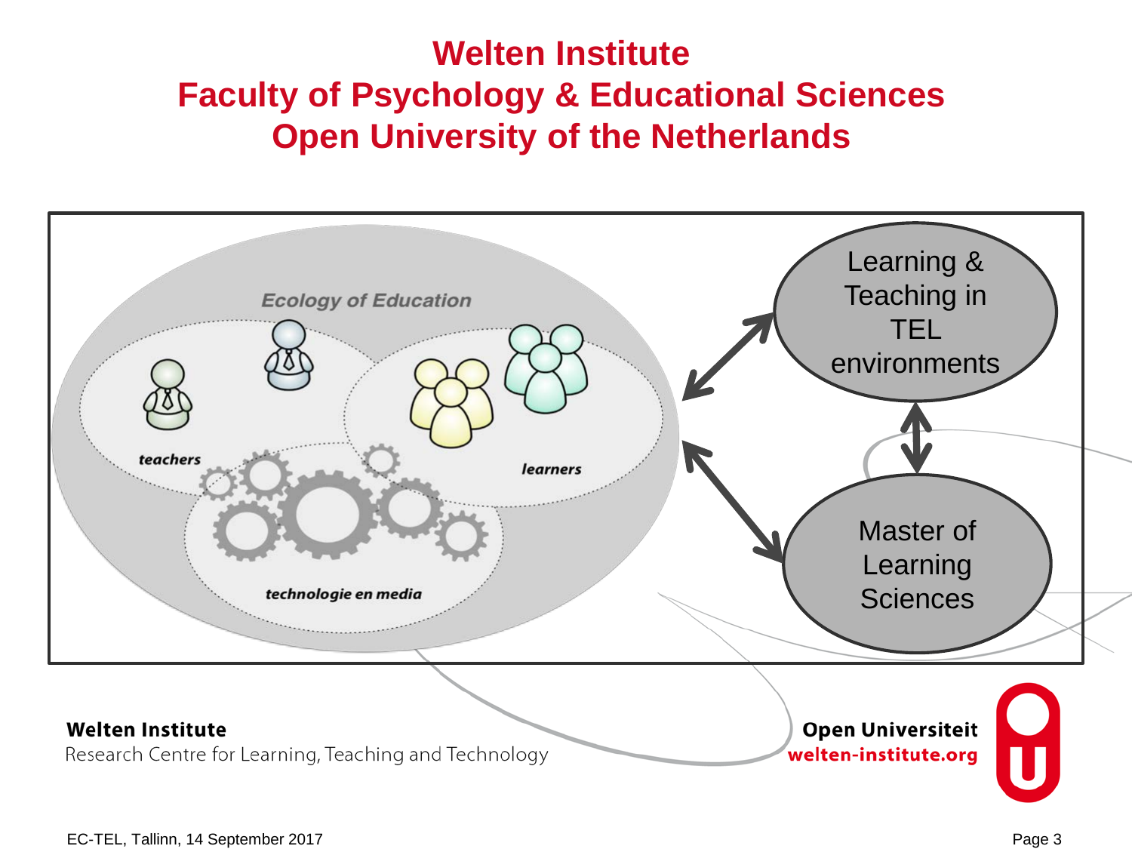# **Welten Institute Faculty of Psychology & Educational Sciences Open University of the Netherlands**

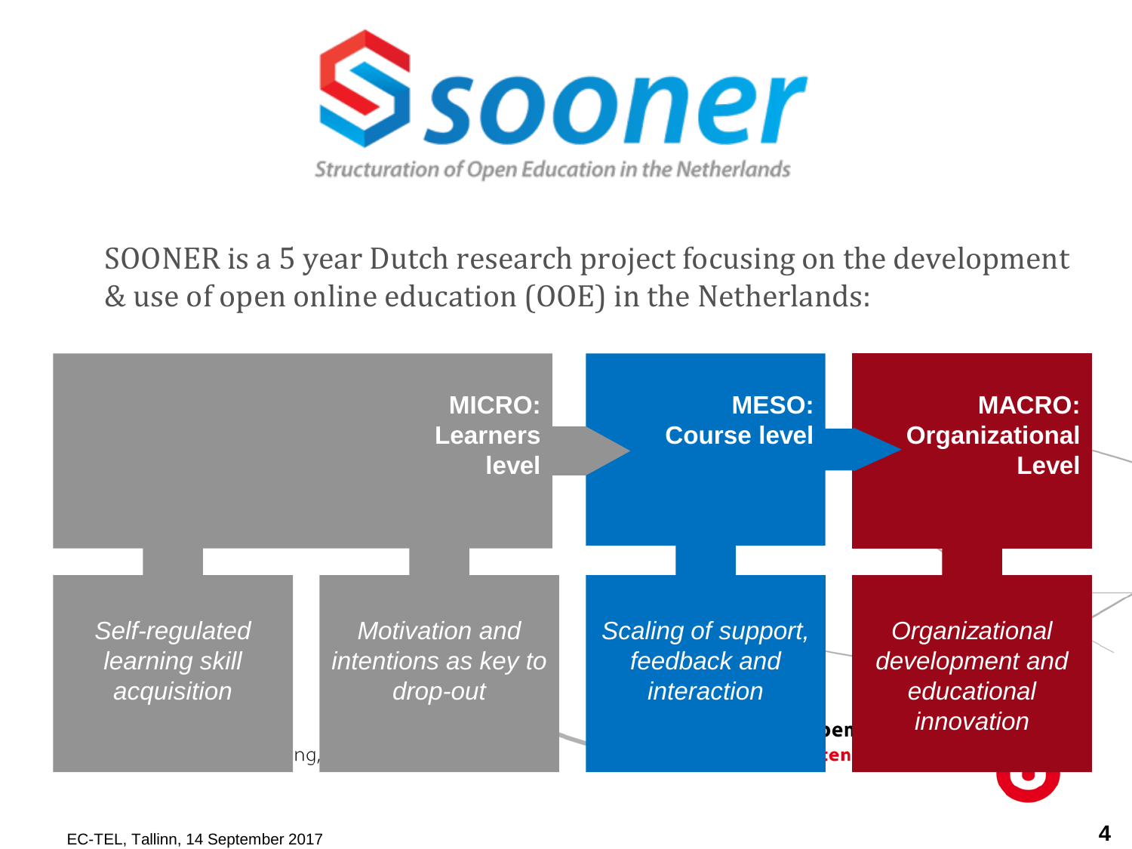

SOONER is a 5 year Dutch research project focusing on the development & use of open online education (OOE) in the Netherlands:

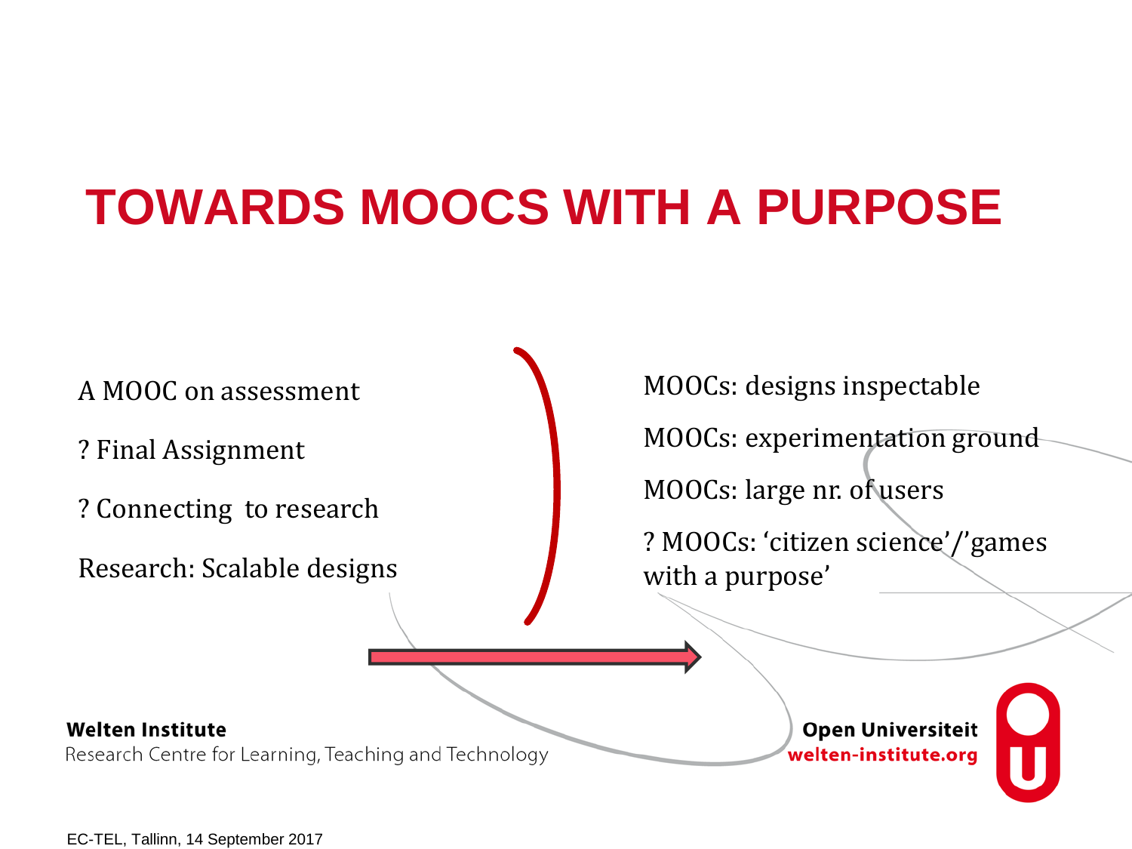# **TOWARDS MOOCS WITH A PURPOSE**

A MOOC on assessment

? Final Assignment

? Connecting to research

Research: Scalable designs

MOOCs: designs inspectable

MOOCs: experimentation ground

MOOCs: large nr. of users

? MOOCs: 'citizen science'/'games with a purpose'

### **Welten Institute**

Research Centre for Learning, Teaching and Technology

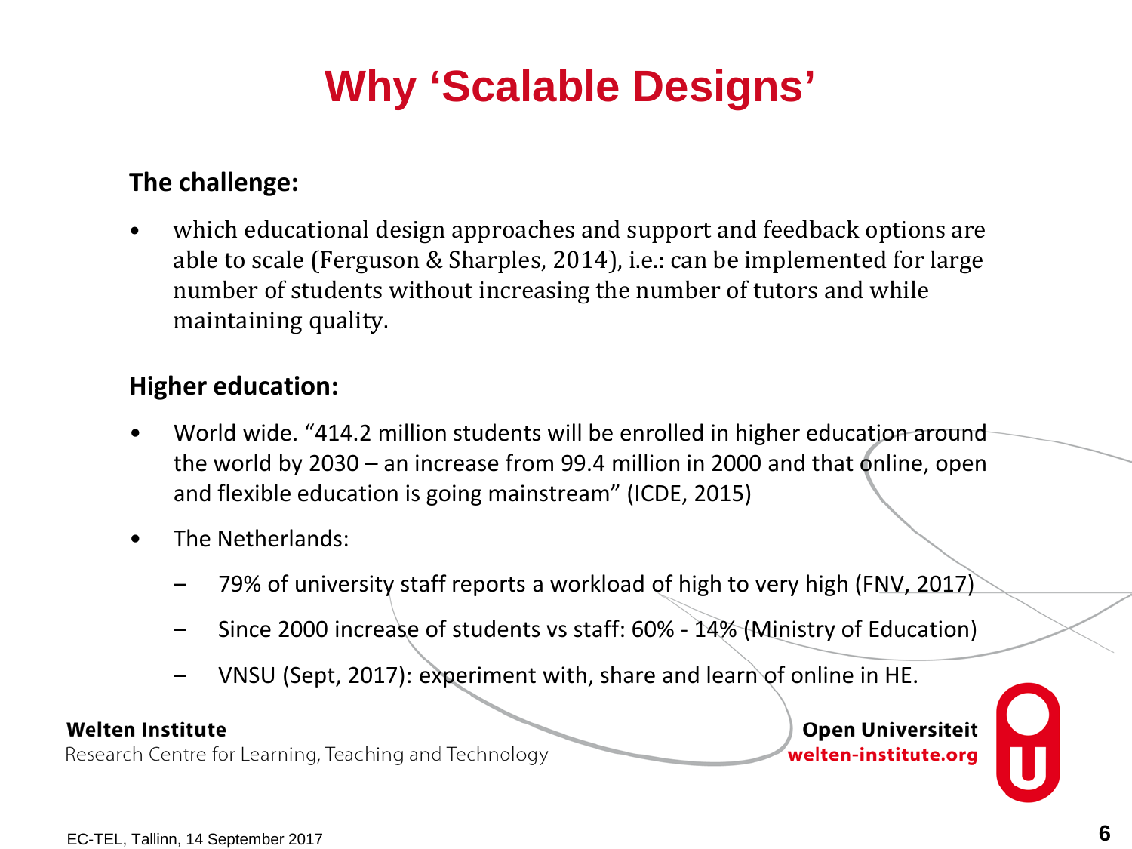# **Why 'Scalable Designs'**

## **The challenge:**

• which educational design approaches and support and feedback options are able to scale (Ferguson & Sharples, 2014), i.e.: can be implemented for large number of students without increasing the number of tutors and while maintaining quality.

## **Higher education:**

- World wide. "414.2 million students will be enrolled in higher education around the world by 2030 – an increase from 99.4 million in 2000 and that online, open and flexible education is going mainstream" (ICDE, 2015)
- The Netherlands:
	- 79% of university staff reports a workload of high to very high (FNV, 2017)
	- Since 2000 increase of students vs staff: 60% 14% (Ministry of Education)
	- VNSU (Sept, 2017): experiment with, share and learn of online in HE.

### **Welten Institute**

Research Centre for Learning, Teaching and Technology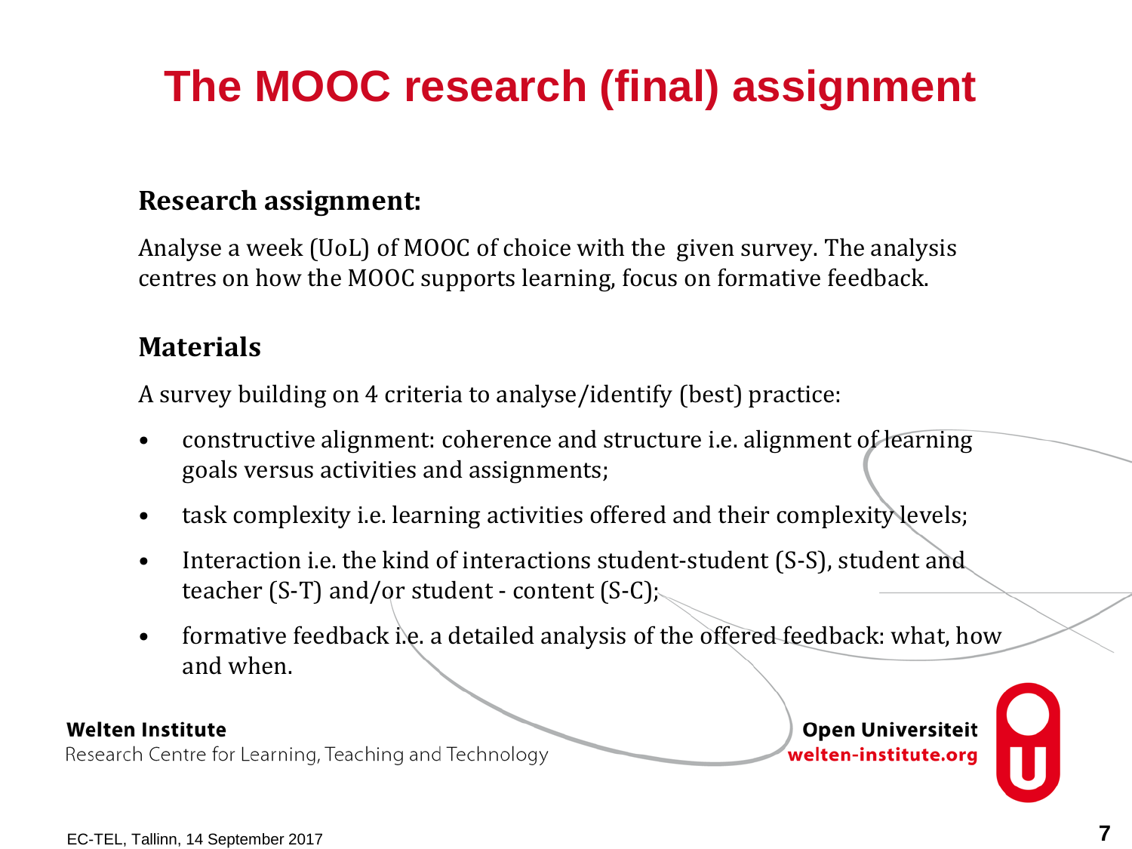# **The MOOC research (final) assignment**

## **Research assignment:**

Analyse a week (UoL) of MOOC of choice with the given survey. The analysis centres on how the MOOC supports learning, focus on formative feedback.

## **Materials**

A survey building on 4 criteria to analyse/identify (best) practice:

- constructive alignment: coherence and structure i.e. alignment of learning goals versus activities and assignments;
- task complexity i.e. learning activities offered and their complexity levels;
- Interaction i.e. the kind of interactions student-student (S-S), student and teacher (S-T) and/or student - content (S-C);
- formative feedback i.e. a detailed analysis of the offered feedback: what, how and when.

### **Welten Institute**

Research Centre for Learning, Teaching and Technology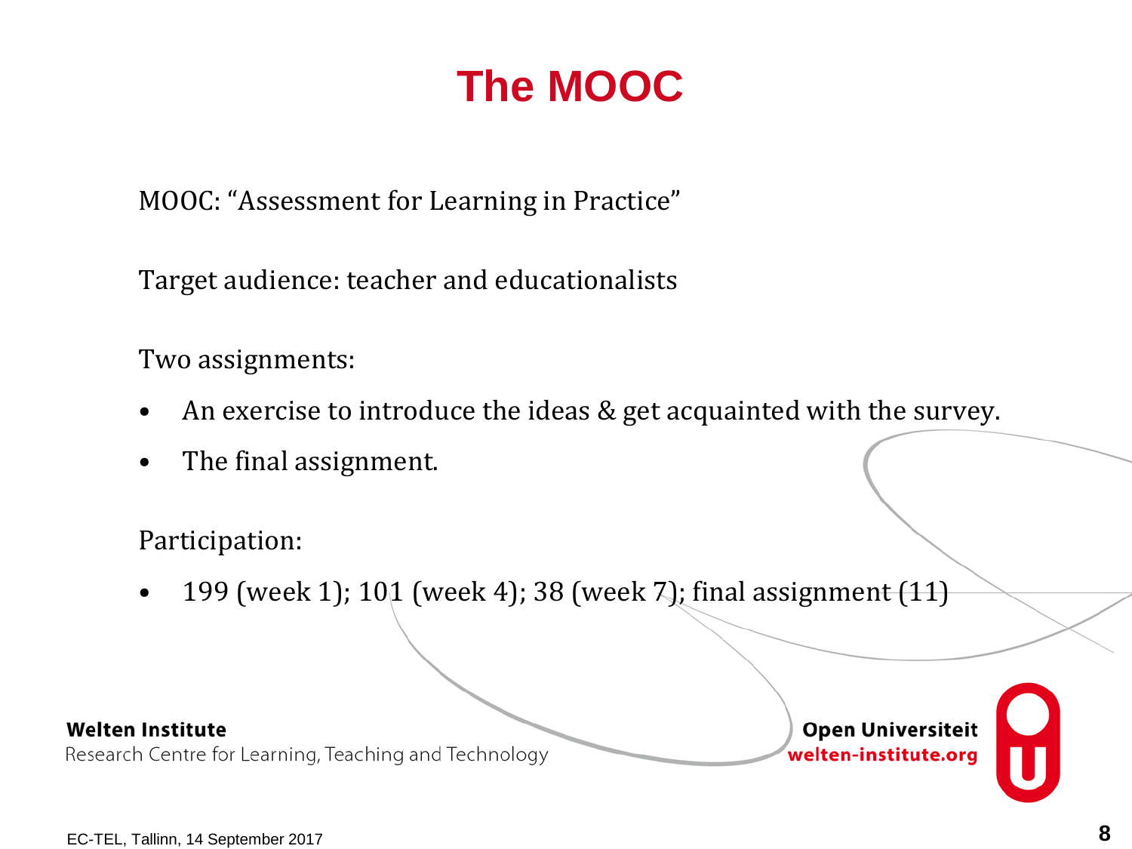# **The MOOC**

MOOC: "Assessment for Learning in Practice"

Target audience: teacher and educationalists

Two assignments:

- An exercise to introduce the ideas & get acquainted with the survey.
- The final assignment.

Participation:

• 199 (week 1); 101 (week 4); 38 (week 7); final assignment (11)

### **Welten Institute**

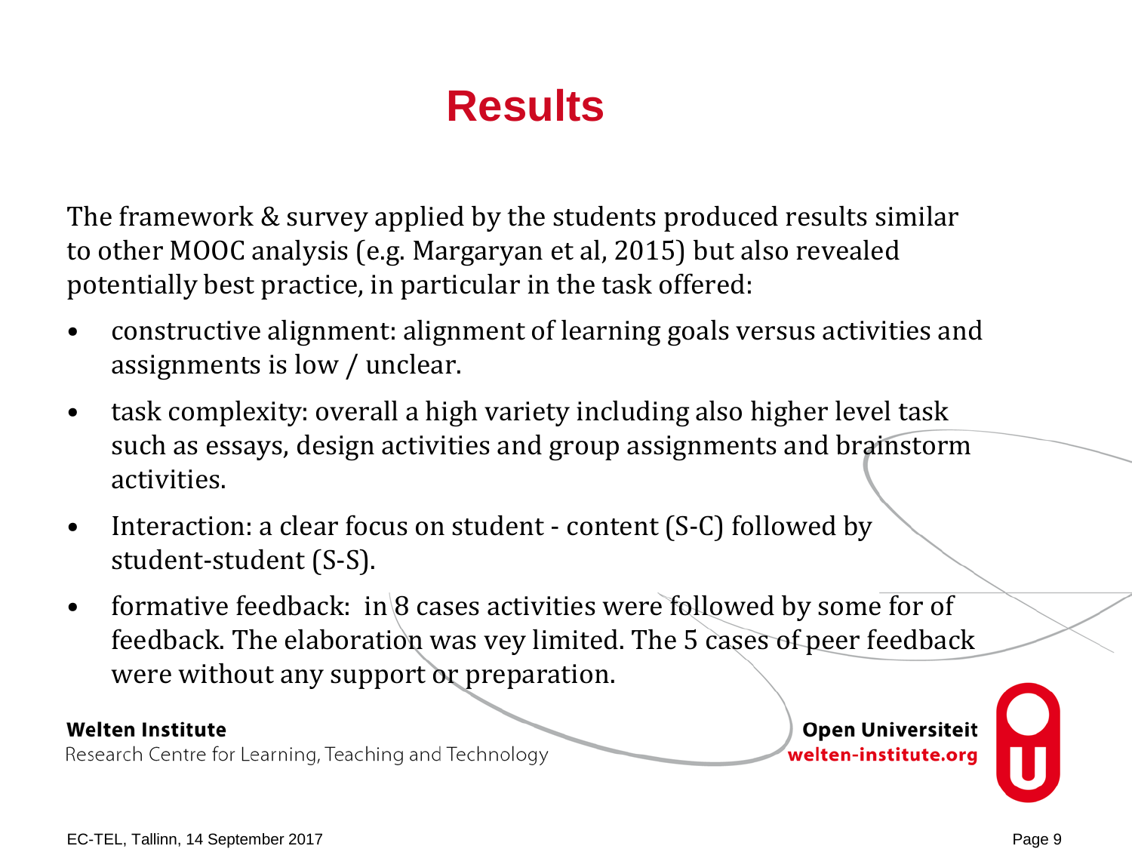# **Results**

The framework & survey applied by the students produced results similar to other MOOC analysis (e.g. Margaryan et al, 2015) but also revealed potentially best practice, in particular in the task offered:

- constructive alignment: alignment of learning goals versus activities and assignments is low / unclear.
- task complexity: overall a high variety including also higher level task such as essays, design activities and group assignments and brainstorm activities.
- Interaction: a clear focus on student content (S-C) followed by student-student (S-S).
- formative feedback: in  $\beta$  cases activities were followed by some for of feedback. The elaboration was vey limited. The 5 cases of peer feedback were without any support or preparation.

## **Welten Institute**

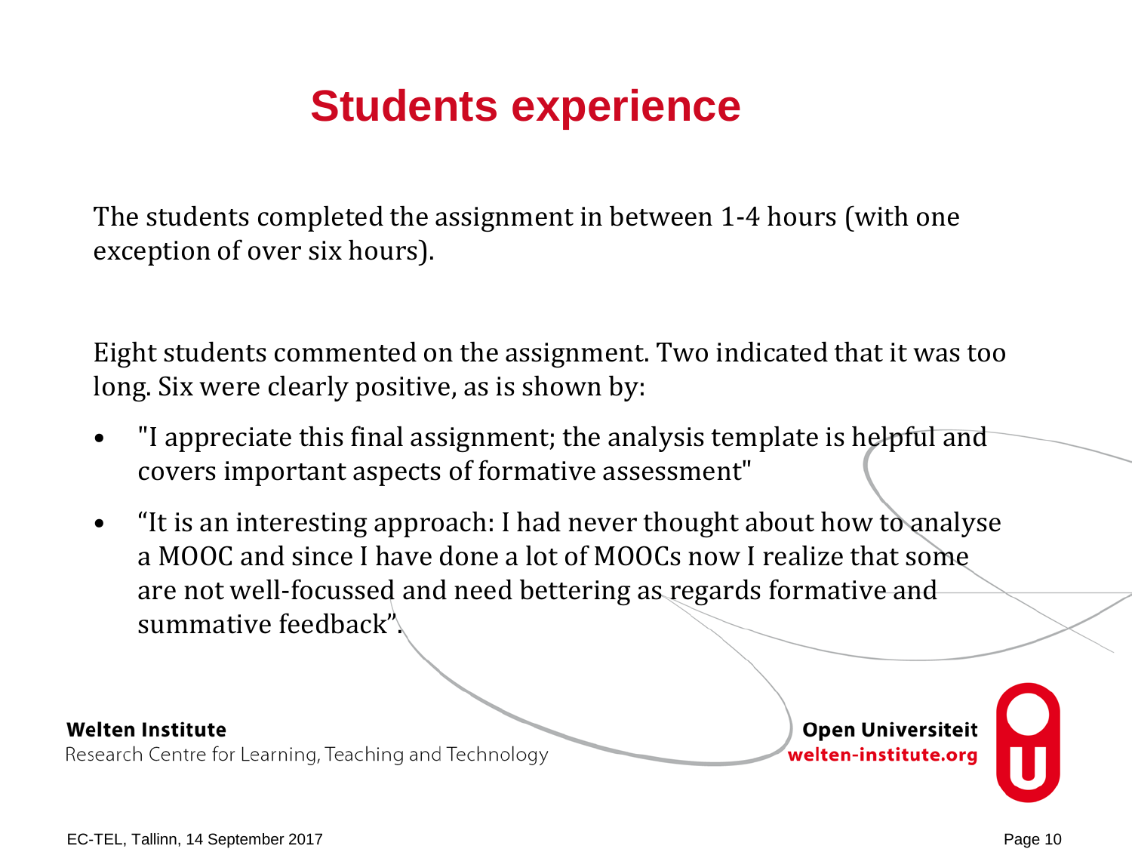# **Students experience**

The students completed the assignment in between 1-4 hours (with one exception of over six hours).

Eight students commented on the assignment. Two indicated that it was too long. Six were clearly positive, as is shown by:

- "I appreciate this final assignment; the analysis template is helpful and covers important aspects of formative assessment"
- "It is an interesting approach: I had never thought about how to analyse a MOOC and since I have done a lot of MOOCs now I realize that some are not well-focussed and need bettering as regards formative and summative feedback".

### **Welten Institute**

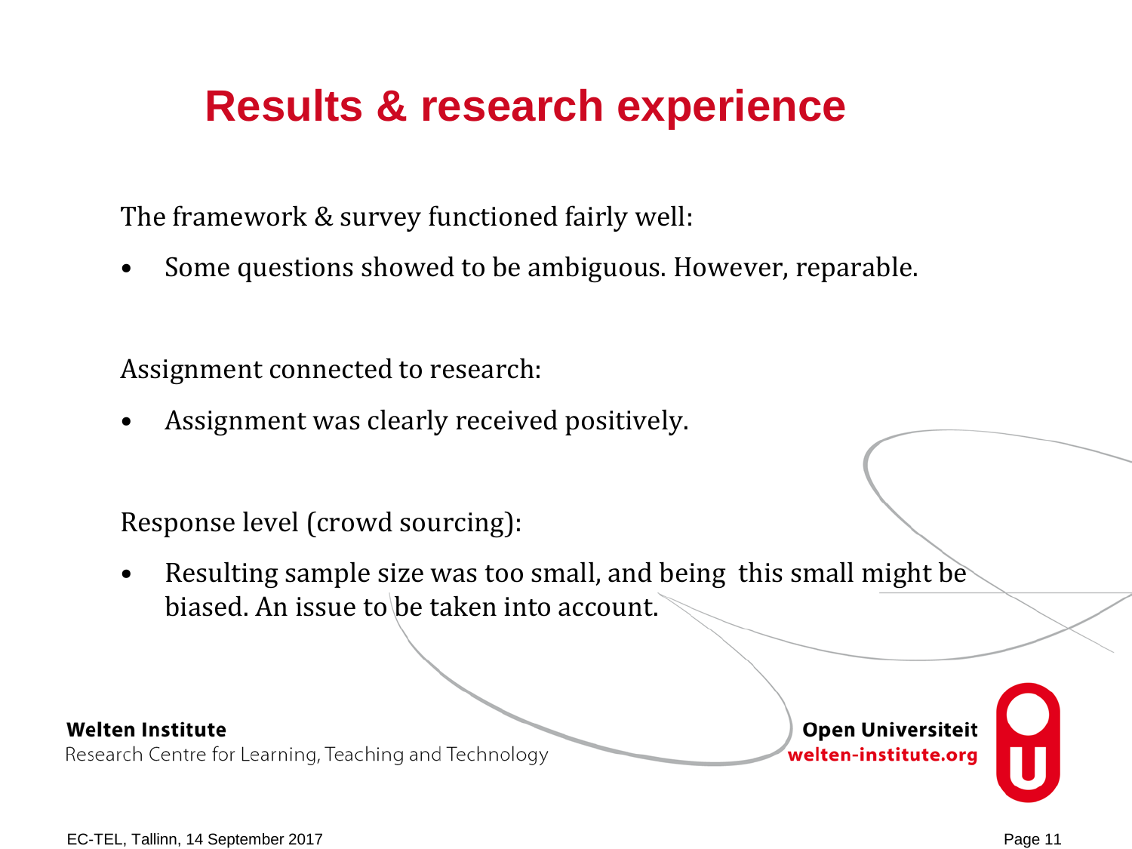# **Results & research experience**

The framework & survey functioned fairly well:

• Some questions showed to be ambiguous. However, reparable.

Assignment connected to research:

• Assignment was clearly received positively.

Response level (crowd sourcing):

• Resulting sample size was too small, and being this small might be biased. An issue to be taken into account.

### **Welten Institute**

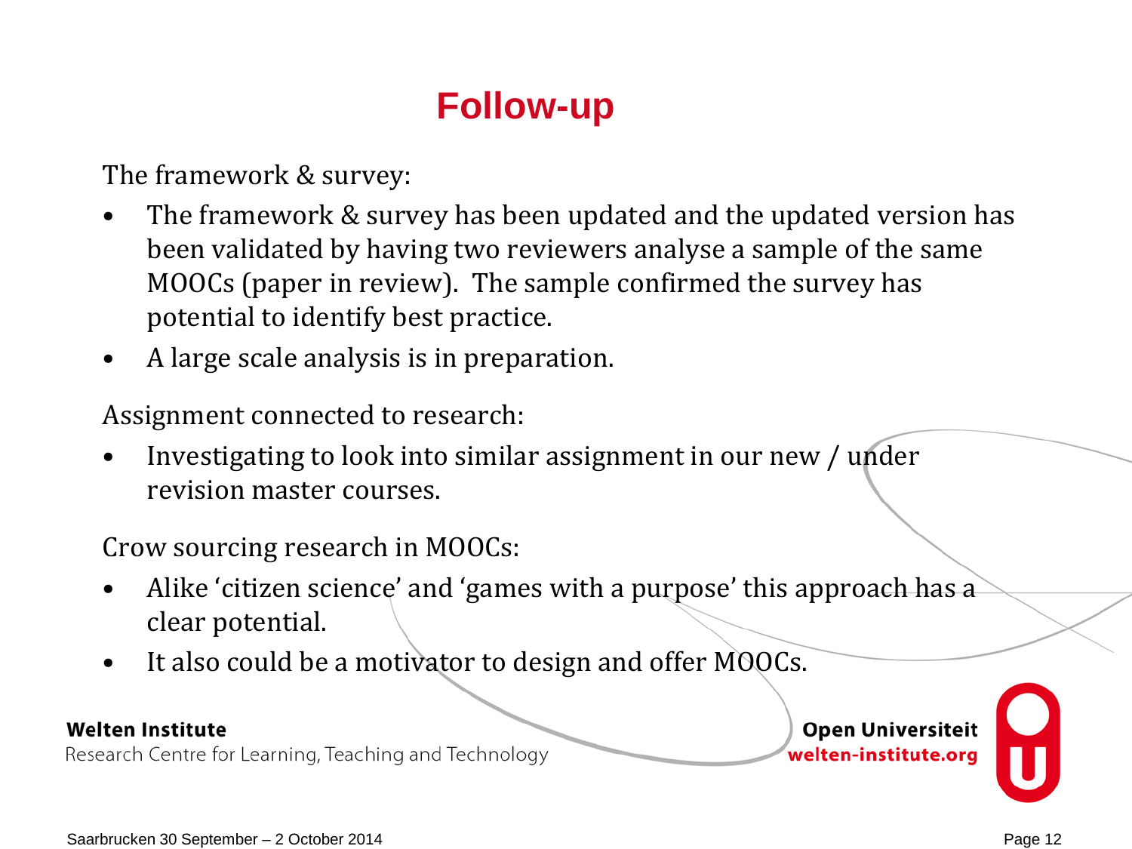# **Follow-up**

The framework & survey:

- The framework & survey has been updated and the updated version has been validated by having two reviewers analyse a sample of the same MOOCs (paper in review). The sample confirmed the survey has potential to identify best practice.
- A large scale analysis is in preparation.

Assignment connected to research:

• Investigating to look into similar assignment in our new / under revision master courses.

Crow sourcing research in MOOCs:

- Alike 'citizen science' and 'games with a purpose' this approach has a clear potential.
- It also could be a motivator to design and offer MOOCs.

## **Welten Institute**